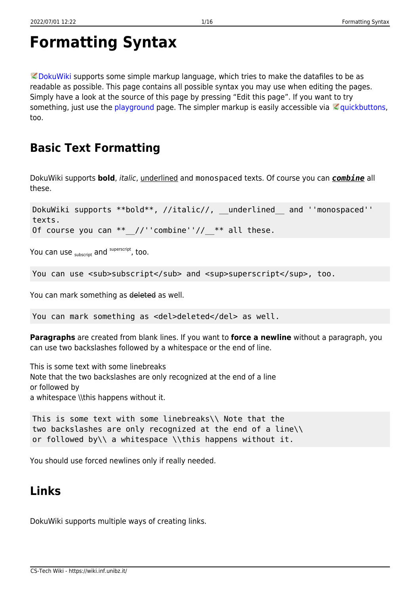```
Formatting Syntax
```
 $\heartsuit$  [DokuWiki](https://www.dokuwiki.org/DokuWiki) supports some simple markup language, which tries to make the datafiles to be as readable as possible. This page contains all possible syntax you may use when editing the pages. Simply have a look at the source of this page by pressing "Edit this page". If you want to try something, just use the [playground](https://wiki.inf.unibz.it/doku.php?id=playground:playground) page. The simpler markup is easily accessible via  $\leq$  [quickbuttons,](https://www.dokuwiki.org/toolbar) too.

# **Basic Text Formatting**

DokuWiki supports **bold**, italic, underlined and monospaced texts. Of course you can *combine* all these.

DokuWiki supports \*\*bold\*\*, //italic//, \_\_underlined and ''monospaced'' texts. Of course you can  $**$  //''combine''//  $**$  all these.

You can use  $_{\text{subscript}}$  and  $^{\text{superscript}}$ , too.

You can use <sub>subscript</sub> and <sup>superscript</sup>, too.

You can mark something as deleted as well.

You can mark something as <del>deleted</del> as well.

**Paragraphs** are created from blank lines. If you want to **force a newline** without a paragraph, you can use two backslashes followed by a whitespace or the end of line.

This is some text with some linebreaks Note that the two backslashes are only recognized at the end of a line or followed by a whitespace \\this happens without it.

This is some text with some linebreaks\\ Note that the two backslashes are only recognized at the end of a line\\ or followed by\\ a whitespace \\this happens without it.

You should use forced newlines only if really needed.

### <span id="page-0-1"></span>**Links**

DokuWiki supports multiple ways of creating links.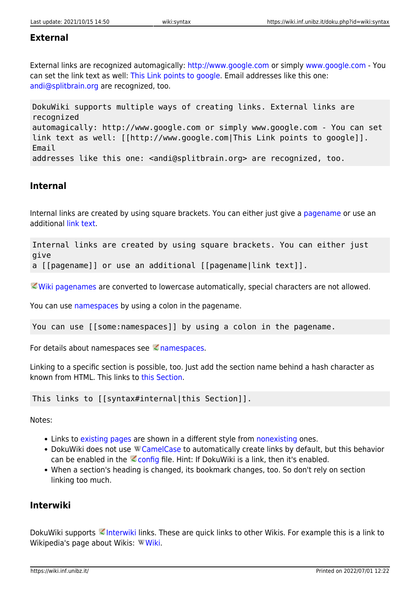#### **External**

External links are recognized automagically:<http://www.google.com>or simply [www.google.com](http://www.google.com) - You can set the link text as well: [This Link points to google](http://www.google.com). Email addresses like this one: [andi@splitbrain.org](mailto:andi@splitbrain.org) are recognized, too.

DokuWiki supports multiple ways of creating links. External links are recognized automagically: http://www.google.com or simply www.google.com - You can set link text as well: [[http://www.google.com|This Link points to google]]. Email addresses like this one: <andi@splitbrain.org> are recognized, too.

#### <span id="page-1-0"></span>**Internal**

Internal links are created by using square brackets. You can either just give a [pagename](https://wiki.inf.unibz.it/doku.php?id=wiki:pagename) or use an additional [link text](https://wiki.inf.unibz.it/doku.php?id=wiki:pagename).

Internal links are created by using square brackets. You can either just give a [[pagename]] or use an additional [[pagename|link text]].

[Wiki pagenames](https://www.dokuwiki.org/pagename) are converted to lowercase automatically, special characters are not allowed.

You can use [namespaces](https://wiki.inf.unibz.it/doku.php?id=some:namespaces) by using a colon in the pagename.

You can use [[some:namespaces]] by using a colon in the pagename.

For details about [namespaces](https://www.dokuwiki.org/namespaces) see  $\leq$  namespaces.

Linking to a specific section is possible, too. Just add the section name behind a hash character as known from HTML. This links to [this Section.](#page-1-0)

This links to [[syntax#internal|this Section]].

Notes:

- Links to [existing pages](#page-0-0) are shown in a different style from [nonexisting](https://wiki.inf.unibz.it/doku.php?id=wiki:nonexisting) ones.
- DokuWiki does not use W [CamelCase](https://en.wikipedia.org/wiki/CamelCase) to automatically create links by default, but this behavior can be enabled in the  $\leq$  [config](https://www.dokuwiki.org/config) file. Hint: If DokuWiki is a link, then it's enabled.
- When a section's heading is changed, its bookmark changes, too. So don't rely on section linking too much.

#### **Interwiki**

DokuWiki supports [Interwiki](https://www.dokuwiki.org/Interwiki) links. These are quick links to other Wikis. For example this is a link to Wikipedia's page about [Wiki](https://en.wikipedia.org/wiki/Wiki)s: WWiki.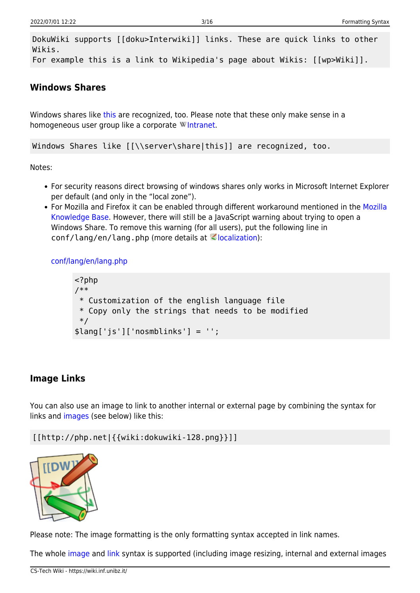DokuWiki supports [[doku>Interwiki]] links. These are quick links to other Wikis. For example this is a link to Wikipedia's page about Wikis: [[wp>Wiki]].

#### **Windows Shares**

Windows shares like [this](#page--1-0) are recognized, too. Please note that these only make sense in a homogeneous user group like a corporate W[Intranet](https://en.wikipedia.org/wiki/Intranet).

Windows Shares like [[\\server\share|this]] are recognized, too.

Notes:

- For security reasons direct browsing of windows shares only works in Microsoft Internet Explorer per default (and only in the "local zone").
- For Mozilla and Firefox it can be enabled through different workaround mentioned in the [Mozilla](http://kb.mozillazine.org/Links_to_local_pages_do_not_work) [Knowledge Base](http://kb.mozillazine.org/Links_to_local_pages_do_not_work). However, there will still be a JavaScript warning about trying to open a Windows Share. To remove this warning (for all users), put the following line in  $conf/l$ ang/en/lang.php (more details at  $\leq$  [localization\)](https://www.dokuwiki.org/localization#changing_some_localized_texts_and_strings_in_your_installation):

[conf/lang/en/lang.php](https://wiki.inf.unibz.it/doku.php?do=export_code&id=wiki:syntax&codeblock=0)

```
<?php
/**
  * Customization of the english language file
  * Copy only the strings that needs to be modified
 */
$lang['js']['nosmblinks'] = '';
```
#### <span id="page-2-0"></span>**Image Links**

You can also use an image to link to another internal or external page by combining the syntax for links and [images](#page--1-0) (see below) like this:

[[http://php.net|{{wiki:dokuwiki-128.png}}]]



Please note: The image formatting is the only formatting syntax accepted in link names.

The whole [image](#page--1-0) and [link](#page-0-1) syntax is supported (including image resizing, internal and external images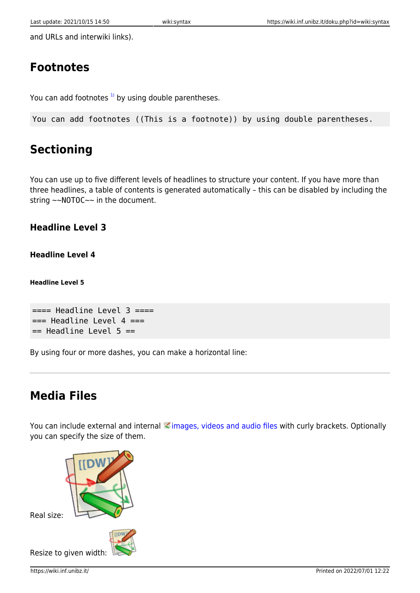and URLs and interwiki links).

## **Footnotes**

You can add footnotes  $1$ <sup>1</sup> by using double parentheses.

You can add footnotes ((This is a footnote)) by using double parentheses.

# **Sectioning**

You can use up to five different levels of headlines to structure your content. If you have more than three headlines, a table of contents is generated automatically – this can be disabled by including the string ~~NOTOC~~ in the document.

### **Headline Level 3**

### **Headline Level 4**

**Headline Level 5**

```
== Headline Level 3 ==== Headline Level 4 ==== Headline Level 5 ==
```
By using four or more dashes, you can make a horizontal line:

# **Media Files**

You can include external and internal *images*, videos and audio files with curly brackets. Optionally you can specify the size of them.

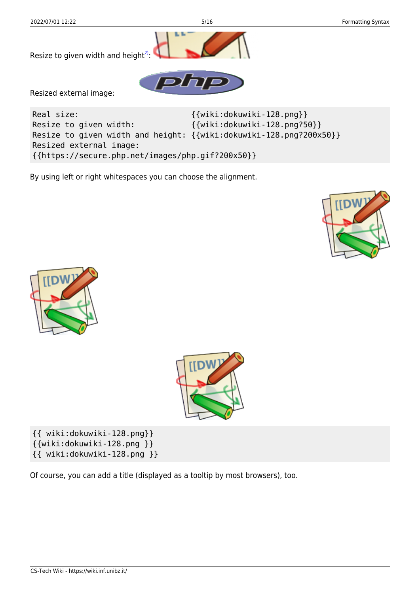

By using left or right whitespaces you can choose the alignment.







{{ wiki:dokuwiki-128.png}} {{wiki:dokuwiki-128.png }} {{ wiki:dokuwiki-128.png }}

Of course, you can add a title (displayed as a tooltip by most browsers), too.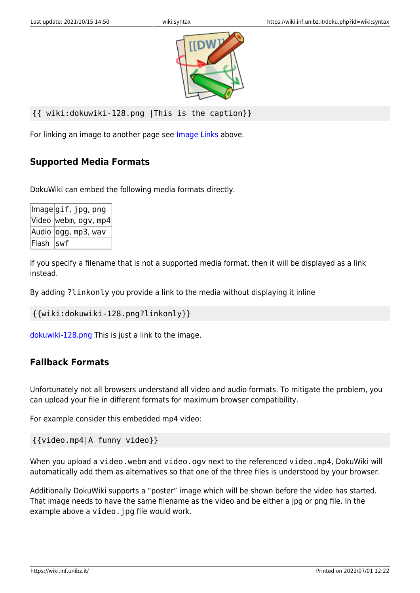

```
{{ wiki:dokuwiki-128.png |This is the caption}}
```
For linking an image to another page see [Image Links](#page-2-0) above.

### **Supported Media Formats**

DokuWiki can embed the following media formats directly.

|            | lmagegif, jpg, png               |
|------------|----------------------------------|
|            | $ $ Video $ $ webm, ogv, mp4 $ $ |
|            | Audio  ogg, mp3, wav             |
| Flash  swf |                                  |

If you specify a filename that is not a supported media format, then it will be displayed as a link instead.

By adding ?linkonly you provide a link to the media without displaying it inline

```
{{wiki:dokuwiki-128.png?linkonly}}
```
[dokuwiki-128.png](https://wiki.inf.unibz.it/lib/exe/fetch.php?media=wiki:dokuwiki-128.png) This is just a link to the image.

#### **Fallback Formats**

Unfortunately not all browsers understand all video and audio formats. To mitigate the problem, you can upload your file in different formats for maximum browser compatibility.

For example consider this embedded mp4 video:

{{video.mp4|A funny video}}

When you upload a video.webm and video.ogv next to the referenced video.mp4, DokuWiki will automatically add them as alternatives so that one of the three files is understood by your browser.

Additionally DokuWiki supports a "poster" image which will be shown before the video has started. That image needs to have the same filename as the video and be either a jpg or png file. In the example above a video. jpg file would work.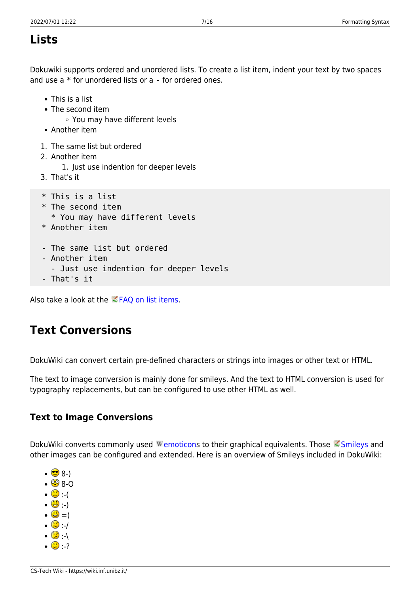### **Lists**

Dokuwiki supports ordered and unordered lists. To create a list item, indent your text by two spaces and use a \* for unordered lists or a - for ordered ones.

- This is a list
- The second item
	- You may have different levels
- Another item
- 1. The same list but ordered
- 2. Another item
	- 1. Just use indention for deeper levels
- 3. That's it
- \* This is a list
- \* The second item
	- \* You may have different levels
- \* Another item
- The same list but ordered
- Another item
	- Just use indention for deeper levels
- That's it

Also take a look at the  $\leq$  [FAQ on list items.](https://www.dokuwiki.org/faq%3Alists)

### **Text Conversions**

DokuWiki can convert certain pre-defined characters or strings into images or other text or HTML.

The text to image conversion is mainly done for smileys. And the text to HTML conversion is used for typography replacements, but can be configured to use other HTML as well.

### **Text to Image Conversions**

DokuWiki converts commonly used Wemoticons to their graphical equivalents. Those [Smileys](https://www.dokuwiki.org/Smileys) and other images can be configured and extended. Here is an overview of Smileys included in DokuWiki:

- $\cdot$   $\bullet$  8-)  $\cdot$   $\circledcirc$  8-O  $\cdot$   $\circ$   $\cdot$  ( :-)  $\cdot \circledast$  =)  $\cdot$  0  $\cdot$  /
- $\cdot$  0  $\cdot$
- $\cdot$  0  $\cdot$  ?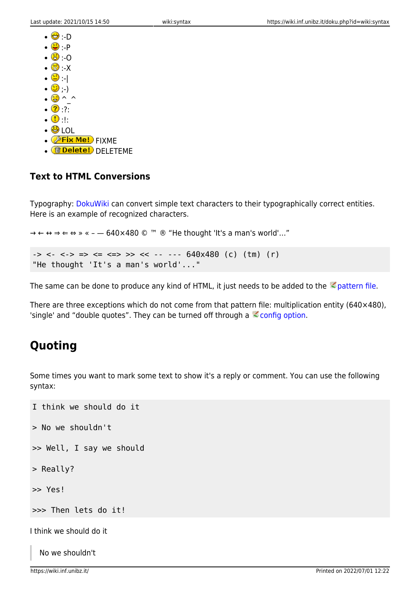- $\cdot \Theta \cdot D$  $\cdot\mathbf{\odot}\cdot\mathbf{P}$  $\cdot$  0  $\cdot$   $\circ$   $\cdot$   $\times$  $\cdot$  0  $\cdot$  1  $\cdot \circledcirc$  ; )  $\cdot$   $\circledcirc$  ^ ^  $\cdot$  2:  $\cdot \circ$
- $\cdot$  O LOL
- $\bullet$   $\circledast$  Fix Me! FIXME
- <mark>fidelete!</mark> DELETEME

#### **Text to HTML Conversions**

Typography: [DokuWiki](https://wiki.inf.unibz.it/doku.php?id=wiki:dokuwiki) can convert simple text characters to their typographically correct entities. Here is an example of recognized characters.

 $\rightarrow \leftarrow \leftrightarrow \Rightarrow \leftarrow \Rightarrow \ast \leftarrow -640 \times 480$  © <sup>™</sup> ® "He thought 'It's a man's world'..."

```
\rightarrow <- <-> => <= <=> >> << -- --- 640x480 (c) (tm) (r)
"He thought 'It's a man's world'..."
```
The same can be done to produce any kind of HTML, it just needs to be added to the  $\leq$  [pattern file](https://www.dokuwiki.org/entities).

There are three exceptions which do not come from that pattern file: multiplication entity (640×480), 'single' and "double quotes". They can be turned off through a  $\leq$  [config option](https://www.dokuwiki.org/config%3Atypography).

### **Quoting**

Some times you want to mark some text to show it's a reply or comment. You can use the following syntax:

```
I think we should do it
> No we shouldn't
>> Well, I say we should
> Really?
>> Yes!
>>> Then lets do it!
I think we should do it
```
No we shouldn't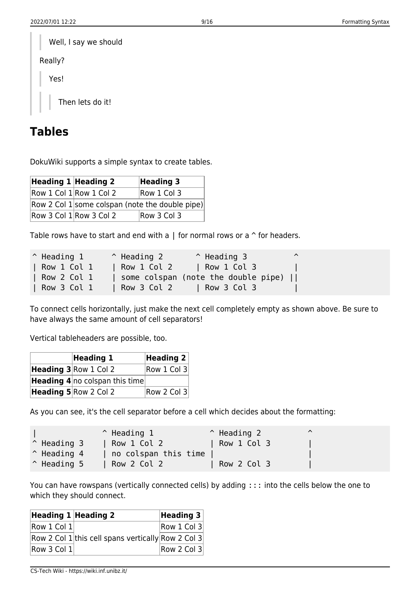| Well, I say we should |
|-----------------------|
| Really?               |
| Yes!                  |
| Then lets do it!      |

### **Tables**

DokuWiki supports a simple syntax to create tables.

| Heading $1$ Heading 2 |                             | <b>Heading 3</b>                                  |
|-----------------------|-----------------------------|---------------------------------------------------|
|                       | $Row 1$ Col $1$ Row 1 Col 2 | Row 1 Col 3                                       |
|                       |                             | Row 2 Col $1$ some colspan (note the double pipe) |
|                       | Row 3 Col $1$ Row 3 Col 2   | Row 3 Col 3                                       |

Table rows have to start and end with a  $\parallel$  for normal rows or a  $\hat{ }$  for headers.

| $^{\wedge}$ Heading 1 | $\hat{ }$ Heading 2 | $^{\circ}$ Heading 3                | ⌒ |
|-----------------------|---------------------|-------------------------------------|---|
| Row 1 Col 1           | Row 1 Col 2         | $\vert$ Row 1 Col 3                 |   |
| Row 2 Col 1           |                     | some colspan (note the double pipe) |   |
| Row 3 Col 1           | $\vert$ Row 3 Col 2 | Row 3 Col 3                         |   |

To connect cells horizontally, just make the next cell completely empty as shown above. Be sure to have always the same amount of cell separators!

Vertical tableheaders are possible, too.

| Heading 1                             | Heading $2 $ |
|---------------------------------------|--------------|
| Heading 3 Row 1 Col 2                 | Row 1 Col 3  |
| <b>Heading 4</b> no colspan this time |              |
| Heading 5 Row 2 Col 2                 | Row 2 Col 3  |

As you can see, it's the cell separator before a cell which decides about the formatting:

|                      | $\hat{}$ Heading 1   | $\hat{}$ Heading 2 | $\lambda$ |  |
|----------------------|----------------------|--------------------|-----------|--|
| $\hat{}$ Heading 3   | Row 1 Col 2          | Row 1 Col 3        |           |  |
| $^{\circ}$ Heading 4 | no colspan this time |                    |           |  |
| $\hat{}$ Heading 5   | Row 2 Col 2          | Row 2 Col 3        |           |  |

You can have rowspans (vertically connected cells) by adding ::: into the cells below the one to which they should connect.

| Heading $1$ Heading 2       |                                                    | Heading $3 $ |
|-----------------------------|----------------------------------------------------|--------------|
| $\vert$ Row 1 Col 1 $\vert$ |                                                    | Row 1 Col 3  |
|                             | Row 2 Col 1 this cell spans vertically Row 2 Col 3 |              |
| Row 3 Col 1                 |                                                    | Row 2 Col 3  |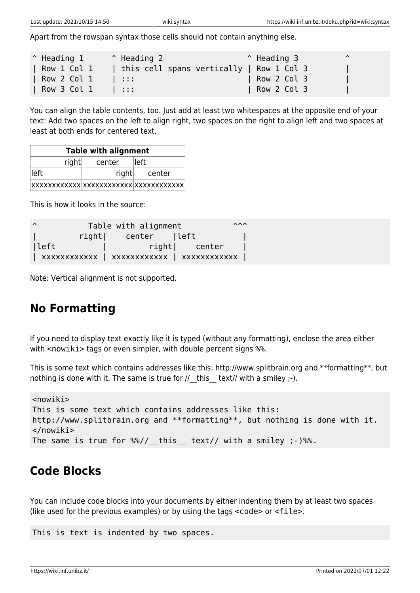Apart from the rowspan syntax those cells should not contain anything else.

| $^{\circ}$ Heading 1 | $\hat{ }$ Heading 2                      | $^{\circ}$ Heading 3 | $\lambda$ |
|----------------------|------------------------------------------|----------------------|-----------|
| Row 1 Col 1          | this cell spans vertically   Row 1 Col 3 |                      |           |
| Row 2 Col 1          | .                                        | Row 2 Col 3          |           |
| Row 3 Col 1          | .                                        | Row 2 Col 3          |           |

You can align the table contents, too. Just add at least two whitespaces at the opposite end of your text: Add two spaces on the left to align right, two spaces on the right to align left and two spaces at least at both ends for centered text.

| <b>Table with alignment</b> |       |        |  |  |
|-----------------------------|-------|--------|--|--|
| right<br>center<br>lleft    |       |        |  |  |
| lleft l                     | right | center |  |  |
|                             |       |        |  |  |

This is how it looks in the source:

| $\lambda$ |       | Table with alignment | $\lambda \lambda \lambda$ |
|-----------|-------|----------------------|---------------------------|
|           | right | center  left         |                           |
| lleft     |       | right  center        |                           |
|           |       |                      |                           |

Note: Vertical alignment is not supported.

## **No Formatting**

If you need to display text exactly like it is typed (without any formatting), enclose the area either with <nowiki> tags or even simpler, with double percent signs  $%$ .

This is some text which contains addresses like this: http://www.splitbrain.org and \*\*formatting\*\*, but nothing is done with it. The same is true for  $//$  this text// with a smiley  $;-$ ).

```
<nowiki>
This is some text which contains addresses like this:
http://www.splitbrain.org and **formatting**, but nothing is done with it.
</nowiki>
The same is true for \frac{1}{2} this text// with a smiley ;-) \frac{1}{2}.
```
### **Code Blocks**

You can include code blocks into your documents by either indenting them by at least two spaces (like used for the previous examples) or by using the tags <code> or <file>.

This is text is indented by two spaces.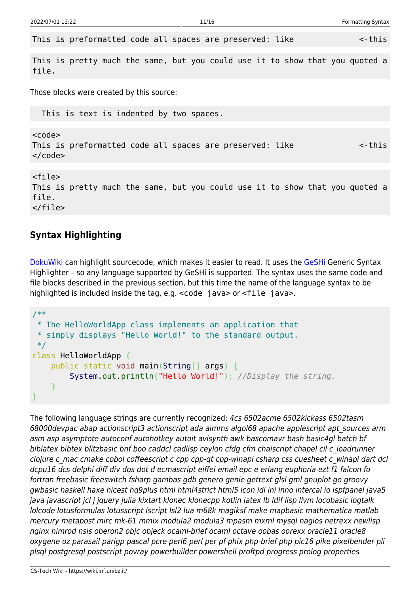This is preformatted code all spaces are preserved: like  $\leq$ -this

This is pretty much the same, but you could use it to show that you quoted a file.

Those blocks were created by this source:

This is text is indented by two spaces.

<code></code> This is preformatted code all spaces are preserved: like  $\leq$ -this  $<$ / $code>$ 

<file> This is pretty much the same, but you could use it to show that you quoted a file. </file>

#### **Syntax Highlighting**

[DokuWiki](https://wiki.inf.unibz.it/doku.php?id=wiki:dokuwiki) can highlight sourcecode, which makes it easier to read. It uses the [GeSHi](http://qbnz.com/highlighter/) Generic Syntax Highlighter – so any language supported by GeSHi is supported. The syntax uses the same code and file blocks described in the previous section, but this time the name of the language syntax to be highlighted is included inside the tag, e.g. <code java> or <file java>.

```
/**
 * The HelloWorldApp class implements an application that
 * simply displays "Hello World!" to the standard output.
 */
class HelloWorldApp {
     public static void main(String[] args) {
         System.out.println("Hello World!"); //Display the string.
     }
}
```
The following language strings are currently recognized: 4cs 6502acme 6502kickass 6502tasm 68000devpac abap actionscript3 actionscript ada aimms algol68 apache applescript apt\_sources arm asm asp asymptote autoconf autohotkey autoit avisynth awk bascomavr bash basic4gl batch bf biblatex bibtex blitzbasic bnf boo caddcl cadlisp ceylon cfdg cfm chaiscript chapel cil c\_loadrunner clojure c\_mac cmake cobol coffeescript c cpp cpp-qt cpp-winapi csharp css cuesheet c\_winapi dart dcl dcpu16 dcs delphi diff div dos dot d ecmascript eiffel email epc e erlang euphoria ezt f1 falcon fo fortran freebasic freeswitch fsharp gambas gdb genero genie gettext glsl gml gnuplot go groovy gwbasic haskell haxe hicest hq9plus html html4strict html5 icon idl ini inno intercal io ispfpanel java5 java javascript jcl j jquery julia kixtart klonec klonecpp kotlin latex lb ldif lisp llvm locobasic logtalk lolcode lotusformulas lotusscript lscript lsl2 lua m68k magiksf make mapbasic mathematica matlab mercury metapost mirc mk-61 mmix modula2 modula3 mpasm mxml mysql nagios netrexx newlisp nginx nimrod nsis oberon2 objc objeck ocaml-brief ocaml octave oobas oorexx oracle11 oracle8 oxygene oz parasail parigp pascal pcre perl6 perl per pf phix php-brief php pic16 pike pixelbender pli plsql postgresql postscript povray powerbuilder powershell proftpd progress prolog properties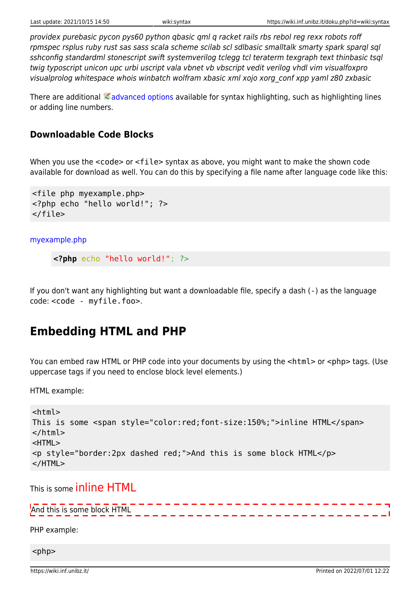providex purebasic pycon pys60 python qbasic qml q racket rails rbs rebol reg rexx robots roff rpmspec rsplus ruby rust sas sass scala scheme scilab scl sdlbasic smalltalk smarty spark sparql sql sshconfig standardml stonescript swift systemverilog tclegg tcl teraterm texgraph text thinbasic tsql twig typoscript unicon upc urbi uscript vala vbnet vb vbscript vedit verilog vhdl vim visualfoxpro visualprolog whitespace whois winbatch wolfram xbasic xml xojo xorg\_conf xpp yaml z80 zxbasic

There are additional  $\triangle$  [advanced options](https://www.dokuwiki.org/syntax_highlighting) available for syntax highlighting, such as highlighting lines or adding line numbers.

#### **Downloadable Code Blocks**

When you use the <code> or <file> syntax as above, you might want to make the shown code available for download as well. You can do this by specifying a file name after language code like this:

```
<file php myexample.php>
<?php echo "hello world!"; ?>
</file>
```
[myexample.php](https://wiki.inf.unibz.it/doku.php?do=export_code&id=wiki:syntax&codeblock=8)

```
<?php echo "hello world!"; ?>
```
If you don't want any highlighting but want a downloadable file, specify a dash (-) as the language code: <code - myfile.foo>.

### **Embedding HTML and PHP**

You can embed raw HTML or PHP code into your documents by using the <html> or <php> tags. (Use uppercase tags if you need to enclose block level elements.)

HTML example:

```
<html>
This is some <span style="color:red;font-size:150%;">inline HTML</span>
</html>
<HTML>
<p style="border:2px dashed red;">And this is some block HTML</p>
</HTML>
```
This is some inline HTML

And this is some block HTML

PHP example:

 $<$ php $>$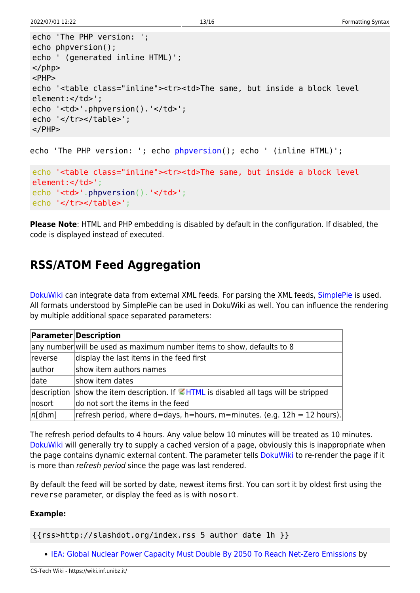```
echo 'The PHP version: ';
echo phpversion();
echo ' (generated inline HTML)';
</php><PHP>
echo '<table class="inline"><tr><td>The same, but inside a block level
element:</td>';
echo '<td>'.phpversion().'</td>';
echo '</tr></table>';
</PHP>
```

```
echo 'The PHP version: '; echo phpversion(); echo ' (inline HTML)';
```

```
echo '<table class="inline"><tr><td>The same, but inside a block level
element:</td>';
.phpversion().'</td>';
echo '</tr></table>';
```
**Please Note**: HTML and PHP embedding is disabled by default in the configuration. If disabled, the code is displayed instead of executed.

### **RSS/ATOM Feed Aggregation**

[DokuWiki](https://wiki.inf.unibz.it/doku.php?id=wiki:dokuwiki) can integrate data from external XML feeds. For parsing the XML feeds, [SimplePie](http://simplepie.org/) is used. All formats understood by SimplePie can be used in DokuWiki as well. You can influence the rendering by multiple additional space separated parameters:

|             | <b>Parameter Description</b>                                                            |
|-------------|-----------------------------------------------------------------------------------------|
|             | any number will be used as maximum number items to show, defaults to 8                  |
| reverse     | display the last items in the feed first                                                |
| author      | show item authors names                                                                 |
| date        | show item dates                                                                         |
| description | show the item description. If $\blacksquare$ HTML is disabled all tags will be stripped |
| nosort      | do not sort the items in the feed                                                       |
| $ n[$ dhm]  | refresh period, where $d =$ days, h=hours, m=minutes. (e.g. $12h = 12$ hours).          |

The refresh period defaults to 4 hours. Any value below 10 minutes will be treated as 10 minutes. [DokuWiki](https://wiki.inf.unibz.it/doku.php?id=wiki:dokuwiki) will generally try to supply a cached version of a page, obviously this is inappropriate when the page contains dynamic external content. The parameter tells [DokuWiki](https://wiki.inf.unibz.it/doku.php?id=wiki:dokuwiki) to re-render the page if it is more than refresh period since the page was last rendered.

By default the feed will be sorted by date, newest items first. You can sort it by oldest first using the reverse parameter, or display the feed as is with nosort.

#### **Example:**

{{rss>http://slashdot.org/index.rss 5 author date 1h }}

• [IEA: Global Nuclear Power Capacity Must Double By 2050 To Reach Net-Zero Emissions](https://hardware.slashdot.org/story/22/06/30/2236252/iea-global-nuclear-power-capacity-must-double-by-2050-to-reach-net-zero-emissions?utm_source=rss1.0mainlinkanon&utm_medium=feed) by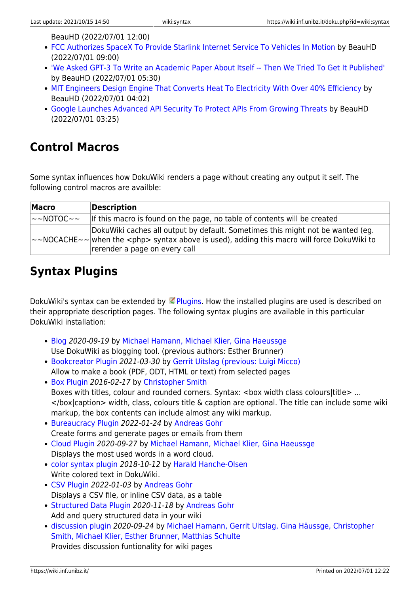BeauHD (2022/07/01 12:00)

- [FCC Authorizes SpaceX To Provide Starlink Internet Service To Vehicles In Motion](https://tech.slashdot.org/story/22/06/30/226202/fcc-authorizes-spacex-to-provide-starlink-internet-service-to-vehicles-in-motion?utm_source=rss1.0mainlinkanon&utm_medium=feed) by BeauHD (2022/07/01 09:00)
- ['We Asked GPT-3 To Write an Academic Paper About Itself -- Then We Tried To Get It Published'](https://science.slashdot.org/story/22/06/30/2157210/we-asked-gpt-3-to-write-an-academic-paper-about-itself----then-we-tried-to-get-it-published?utm_source=rss1.0mainlinkanon&utm_medium=feed) by BeauHD (2022/07/01 05:30)
- [MIT Engineers Design Engine That Converts Heat To Electricity With Over 40% Efficiency](https://hardware.slashdot.org/story/22/06/30/2146218/mit-engineers-design-engine-that-converts-heat-to-electricity-with-over-40-efficiency?utm_source=rss1.0mainlinkanon&utm_medium=feed) by BeauHD (2022/07/01 04:02)
- [Google Launches Advanced API Security To Protect APIs From Growing Threats](https://tech.slashdot.org/story/22/06/30/2115237/google-launches-advanced-api-security-to-protect-apis-from-growing-threats?utm_source=rss1.0mainlinkanon&utm_medium=feed) by BeauHD (2022/07/01 03:25)

### **Control Macros**

Some syntax influences how DokuWiki renders a page without creating any output it self. The following control macros are availble:

| <b>Macro</b>    | <b>Description</b>                                                                                                                                                                                                                  |
|-----------------|-------------------------------------------------------------------------------------------------------------------------------------------------------------------------------------------------------------------------------------|
| $\sim$ -NOTOC~~ | If this macro is found on the page, no table of contents will be created                                                                                                                                                            |
|                 | DokuWiki caches all output by default. Sometimes this might not be wanted (eg.<br>$\sim$ NOCACHE $\sim$ $\sim$ when the $\lt$ php> syntax above is used), adding this macro will force DokuWiki to<br>rerender a page on every call |

## **Syntax Plugins**

DokuWiki's syntax can be extended by  $\leq$  [Plugins.](https://www.dokuwiki.org/plugins) How the installed plugins are used is described on their appropriate description pages. The following syntax plugins are available in this particular DokuWiki installation:

- [Blog](https://www.dokuwiki.org/plugin:blog) 2020-09-19 by [Michael Hamann, Michael Klier, Gina Haeussge](mailto:michael@content-space.de) Use DokuWiki as blogging tool. (previous authors: Esther Brunner)
- [Bookcreator Plugin](https://www.dokuwiki.org/plugin:bookcreator) 2021-03-30 by [Gerrit Uitslag \(previous: Luigi Micco\)](mailto:klapinklapin@gmail.com) Allow to make a book (PDF, ODT, HTML or text) from selected pages
- [Box Plugin](http://dokuwiki.org/plugin:box) 2016-02-17 by [Christopher Smith](mailto:chris@jalakai.co.uk) Boxes with titles, colour and rounded corners. Syntax: <box width class colours|title> ...  $\lt$ /box|caption> width, class, colours title & caption are optional. The title can include some wiki markup, the box contents can include almost any wiki markup.
- [Bureaucracy Plugin](https://www.dokuwiki.org/plugin:bureaucracy) 2022-01-24 by [Andreas Gohr](mailto:andi@splitbrain.org) Create forms and generate pages or emails from them
- [Cloud Plugin](http://www.dokuwiki.org/plugin:cloud) 2020-09-27 by [Michael Hamann, Michael Klier, Gina Haeussge](mailto:michael@content-space.de) Displays the most used words in a word cloud.
- [color syntax plugin](https://www.dokuwiki.org/plugin:color) 2018-10-12 by [Harald Hanche-Olsen](mailto:harald.hanche-olsen@ntnu.no) Write colored text in DokuWiki.
- [CSV Plugin](http://www.dokuwiki.org/plugin:csv) 2022-01-03 by [Andreas Gohr](mailto:dokuwiki@cosmocode.de) Displays a CSV file, or inline CSV data, as a table
- [Structured Data Plugin](https://www.dokuwiki.org/plugin:data) 2020-11-18 by [Andreas Gohr](mailto:andi@splitbrain.org) Add and query structured data in your wiki
- [discussion plugin](https://dokuwiki.org/plugin:discussion) 2020-09-24 by [Michael Hamann, Gerrit Uitslag, Gina Häussge, Christopher](mailto:michael@content-space.de) [Smith, Michael Klier, Esther Brunner, Matthias Schulte](mailto:michael@content-space.de) Provides discussion funtionality for wiki pages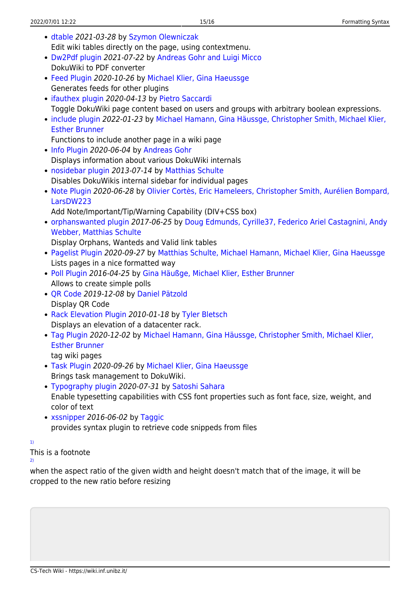- [dtable](http://www.dokuwiki.org/plugin:dtable) 2021-03-28 by [Szymon Olewniczak](mailto:solewniczak@rid.pl) Edit wiki tables directly on the page, using contextmenu.
- [Dw2Pdf plugin](https://www.dokuwiki.org/plugin:dw2pdf) 2021-07-22 by [Andreas Gohr and Luigi Micco](mailto:l.micco@tiscali.it) DokuWiki to PDF converter
- [Feed Plugin](https://www.dokuwiki.org/plugin:feed) 2020-10-26 by [Michael Klier, Gina Haeussge](mailto:dokuwiki@chimeric.de) Generates feeds for other plugins
- [ifauthex plugin](https://git.mittelab.org/proj/ifauthex-dokuwiki-plugin) 2020-04-13 by [Pietro Saccardi](mailto:lizardm4@gmail.com) Toggle DokuWiki page content based on users and groups with arbitrary boolean expressions.
- [include plugin](http://dokuwiki.org/plugin:include) 2022-01-23 by [Michael Hamann, Gina Häussge, Christopher Smith, Michael Klier,](mailto:michael@content-space.de) [Esther Brunner](mailto:michael@content-space.de)

Functions to include another page in a wiki page

- [Info Plugin](http://dokuwiki.org/plugin:info) 2020-06-04 by [Andreas Gohr](mailto:andi@splitbrain.org) Displays information about various DokuWiki internals
- [nosidebar plugin](http://dokuwiki.org/plugin:nosidebar) 2013-07-14 by [Matthias Schulte](mailto:dokuwiki@lupo49.de) Disables DokuWikis internal sidebar for individual pages
- [Note Plugin](https://www.dokuwiki.org/plugin:note) 2020-06-28 by [Olivier Cortès, Eric Hameleers, Christopher Smith, Aurélien Bompard,](mailto:olive@deep-ocean.net) [LarsDW223](mailto:olive@deep-ocean.net)

Add Note/Important/Tip/Warning Capability (DIV+CSS box)

[orphanswanted plugin](http://dokuwiki.org/plugin:orphanswanted) 2017-06-25 by [Doug Edmunds, Cyrille37, Federico Ariel Castagnini, Andy](mailto:dokuwiki@lupo49.de) [Webber, Matthias Schulte](mailto:dokuwiki@lupo49.de)

Display Orphans, Wanteds and Valid link tables

- [Pagelist Plugin](http://www.dokuwiki.org/plugin:pagelist) 2020-09-27 by [Matthias Schulte, Michael Hamann, Michael Klier, Gina Haeussge](mailto:michael@content-space.de) Lists pages in a nice formatted way
- [Poll Plugin](http://dokuwiki.org/plugin:poll) 2016-04-25 by [Gina Häußge, Michael Klier, Esther Brunner](mailto:dokuwiki@chimeric.de) Allows to create simple polls
- OR Code 2019-12-08 by [Daniel Pätzold](mailto:obel1x@web.de) Display QR Code
- [Rack Elevation Plugin](http://www.dokuwiki.org/plugin:rack) 2010-01-18 by [Tyler Bletsch](mailto:Tyler.Bletsch@netapp.com) Displays an elevation of a datacenter rack.
- [Tag Plugin](https://www.dokuwiki.org/plugin:tag) 2020-12-02 by [Michael Hamann, Gina Häussge, Christopher Smith, Michael Klier,](mailto:michael@content-space.de) [Esther Brunner](mailto:michael@content-space.de)
	- tag wiki pages
- [Task Plugin](http://www.dokuwiki.org/plugin:task) 2020-09-26 by [Michael Klier, Gina Haeussge](mailto:dokuwiki@chimeric.de) Brings task management to DokuWiki.
- [Typography plugin](https://www.dokuwiki.org/plugin:typography) 2020-07-31 by [Satoshi Sahara](mailto:<sahara.satoshi@gmail.com>) Enable typesetting capabilities with CSS font properties such as font face, size, weight, and color of text
- [xssnipper](http://www.dokuwiki.org/plugin:xssnipper) 2016-06-02 by [Taggic](mailto:taggic@t-online.de) provides syntax plugin to retrieve code snippeds from files

[1\)](#page--1-0)

This is a footnote

[2\)](#page--1-0)

when the aspect ratio of the given width and height doesn't match that of the image, it will be cropped to the new ratio before resizing